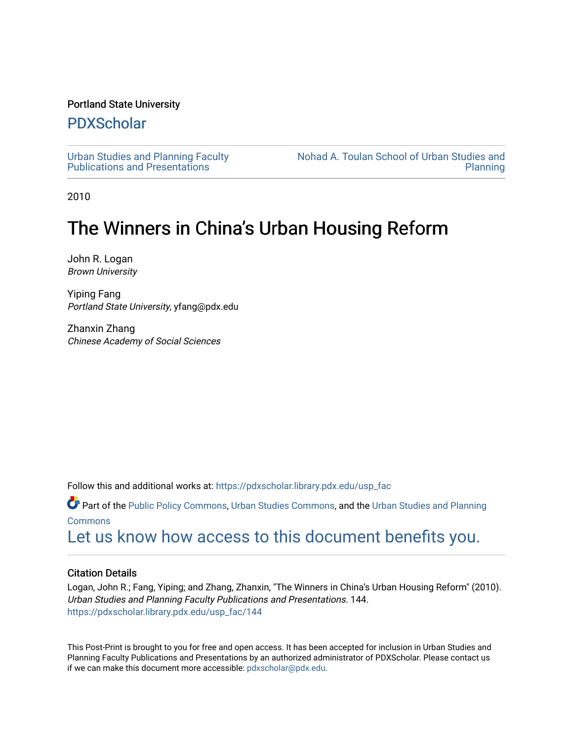#### Portland State University

# [PDXScholar](https://pdxscholar.library.pdx.edu/)

[Urban Studies and Planning Faculty](https://pdxscholar.library.pdx.edu/usp_fac)  [Publications and Presentations](https://pdxscholar.library.pdx.edu/usp_fac) 

[Nohad A. Toulan School of Urban Studies and](https://pdxscholar.library.pdx.edu/usp)  [Planning](https://pdxscholar.library.pdx.edu/usp) 

2010

# The Winners in China's Urban Housing Reform

John R. Logan Brown University

Yiping Fang Portland State University, yfang@pdx.edu

Zhanxin Zhang Chinese Academy of Social Sciences

Follow this and additional works at: [https://pdxscholar.library.pdx.edu/usp\\_fac](https://pdxscholar.library.pdx.edu/usp_fac?utm_source=pdxscholar.library.pdx.edu%2Fusp_fac%2F144&utm_medium=PDF&utm_campaign=PDFCoverPages)

Part of the [Public Policy Commons,](http://network.bepress.com/hgg/discipline/400?utm_source=pdxscholar.library.pdx.edu%2Fusp_fac%2F144&utm_medium=PDF&utm_campaign=PDFCoverPages) [Urban Studies Commons,](http://network.bepress.com/hgg/discipline/402?utm_source=pdxscholar.library.pdx.edu%2Fusp_fac%2F144&utm_medium=PDF&utm_campaign=PDFCoverPages) and the [Urban Studies and Planning](http://network.bepress.com/hgg/discipline/436?utm_source=pdxscholar.library.pdx.edu%2Fusp_fac%2F144&utm_medium=PDF&utm_campaign=PDFCoverPages) [Commons](http://network.bepress.com/hgg/discipline/436?utm_source=pdxscholar.library.pdx.edu%2Fusp_fac%2F144&utm_medium=PDF&utm_campaign=PDFCoverPages)

[Let us know how access to this document benefits you.](http://library.pdx.edu/services/pdxscholar-services/pdxscholar-feedback/?ref=https://pdxscholar.library.pdx.edu/usp_fac/144) 

### Citation Details

Logan, John R.; Fang, Yiping; and Zhang, Zhanxin, "The Winners in China's Urban Housing Reform" (2010). Urban Studies and Planning Faculty Publications and Presentations. 144. [https://pdxscholar.library.pdx.edu/usp\\_fac/144](https://pdxscholar.library.pdx.edu/usp_fac/144?utm_source=pdxscholar.library.pdx.edu%2Fusp_fac%2F144&utm_medium=PDF&utm_campaign=PDFCoverPages)

This Post-Print is brought to you for free and open access. It has been accepted for inclusion in Urban Studies and Planning Faculty Publications and Presentations by an authorized administrator of PDXScholar. Please contact us if we can make this document more accessible: [pdxscholar@pdx.edu.](mailto:pdxscholar@pdx.edu)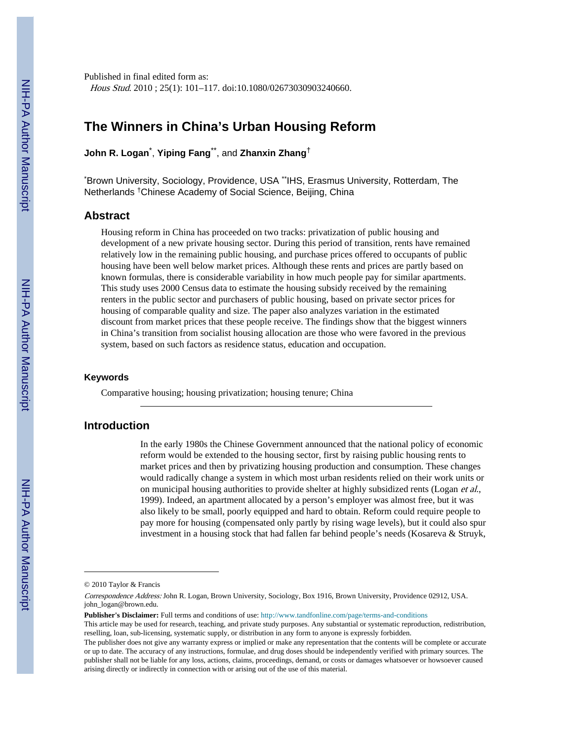Published in final edited form as: Hous Stud. 2010 ; 25(1): 101–117. doi:10.1080/02673030903240660.

## **The Winners in China's Urban Housing Reform**

#### **John R. Logan**\* , **Yiping Fang**\*\*, and **Zhanxin Zhang**†

\*Brown University, Sociology, Providence, USA \*\*IHS, Erasmus University, Rotterdam, The Netherlands †Chinese Academy of Social Science, Beijing, China

#### **Abstract**

Housing reform in China has proceeded on two tracks: privatization of public housing and development of a new private housing sector. During this period of transition, rents have remained relatively low in the remaining public housing, and purchase prices offered to occupants of public housing have been well below market prices. Although these rents and prices are partly based on known formulas, there is considerable variability in how much people pay for similar apartments. This study uses 2000 Census data to estimate the housing subsidy received by the remaining renters in the public sector and purchasers of public housing, based on private sector prices for housing of comparable quality and size. The paper also analyzes variation in the estimated discount from market prices that these people receive. The findings show that the biggest winners in China's transition from socialist housing allocation are those who were favored in the previous system, based on such factors as residence status, education and occupation.

#### **Keywords**

Comparative housing; housing privatization; housing tenure; China

#### **Introduction**

In the early 1980s the Chinese Government announced that the national policy of economic reform would be extended to the housing sector, first by raising public housing rents to market prices and then by privatizing housing production and consumption. These changes would radically change a system in which most urban residents relied on their work units or on municipal housing authorities to provide shelter at highly subsidized rents (Logan *et al.*, 1999). Indeed, an apartment allocated by a person's employer was almost free, but it was also likely to be small, poorly equipped and hard to obtain. Reform could require people to pay more for housing (compensated only partly by rising wage levels), but it could also spur investment in a housing stock that had fallen far behind people's needs (Kosareva & Struyk,

**Publisher's Disclaimer:** Full terms and conditions of use: <http://www.tandfonline.com/page/terms-and-conditions>

<sup>© 2010</sup> Taylor & Francis

Correspondence Address: John R. Logan, Brown University, Sociology, Box 1916, Brown University, Providence 02912, USA. john\_logan@brown.edu.

This article may be used for research, teaching, and private study purposes. Any substantial or systematic reproduction, redistribution, reselling, loan, sub-licensing, systematic supply, or distribution in any form to anyone is expressly forbidden.

The publisher does not give any warranty express or implied or make any representation that the contents will be complete or accurate or up to date. The accuracy of any instructions, formulae, and drug doses should be independently verified with primary sources. The publisher shall not be liable for any loss, actions, claims, proceedings, demand, or costs or damages whatsoever or howsoever caused arising directly or indirectly in connection with or arising out of the use of this material.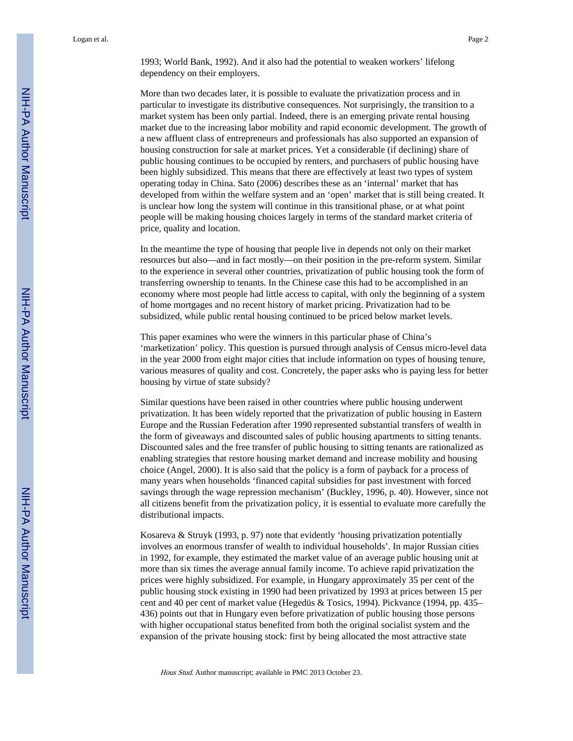1993; World Bank, 1992). And it also had the potential to weaken workers' lifelong dependency on their employers.

More than two decades later, it is possible to evaluate the privatization process and in particular to investigate its distributive consequences. Not surprisingly, the transition to a market system has been only partial. Indeed, there is an emerging private rental housing market due to the increasing labor mobility and rapid economic development. The growth of a new affluent class of entrepreneurs and professionals has also supported an expansion of housing construction for sale at market prices. Yet a considerable (if declining) share of public housing continues to be occupied by renters, and purchasers of public housing have been highly subsidized. This means that there are effectively at least two types of system operating today in China. Sato (2006) describes these as an 'internal' market that has developed from within the welfare system and an 'open' market that is still being created. It is unclear how long the system will continue in this transitional phase, or at what point people will be making housing choices largely in terms of the standard market criteria of price, quality and location.

In the meantime the type of housing that people live in depends not only on their market resources but also—and in fact mostly—on their position in the pre-reform system. Similar to the experience in several other countries, privatization of public housing took the form of transferring ownership to tenants. In the Chinese case this had to be accomplished in an economy where most people had little access to capital, with only the beginning of a system of home mortgages and no recent history of market pricing. Privatization had to be subsidized, while public rental housing continued to be priced below market levels.

This paper examines who were the winners in this particular phase of China's 'marketization' policy. This question is pursued through analysis of Census micro-level data in the year 2000 from eight major cities that include information on types of housing tenure, various measures of quality and cost. Concretely, the paper asks who is paying less for better housing by virtue of state subsidy?

Similar questions have been raised in other countries where public housing underwent privatization. It has been widely reported that the privatization of public housing in Eastern Europe and the Russian Federation after 1990 represented substantial transfers of wealth in the form of giveaways and discounted sales of public housing apartments to sitting tenants. Discounted sales and the free transfer of public housing to sitting tenants are rationalized as enabling strategies that restore housing market demand and increase mobility and housing choice (Angel, 2000). It is also said that the policy is a form of payback for a process of many years when households 'financed capital subsidies for past investment with forced savings through the wage repression mechanism' (Buckley, 1996, p. 40). However, since not all citizens benefit from the privatization policy, it is essential to evaluate more carefully the distributional impacts.

Kosareva & Struyk (1993, p. 97) note that evidently 'housing privatization potentially involves an enormous transfer of wealth to individual households'. In major Russian cities in 1992, for example, they estimated the market value of an average public housing unit at more than six times the average annual family income. To achieve rapid privatization the prices were highly subsidized. For example, in Hungary approximately 35 per cent of the public housing stock existing in 1990 had been privatized by 1993 at prices between 15 per cent and 40 per cent of market value (Hegedüs & Tosics, 1994). Pickvance (1994, pp. 435– 436) points out that in Hungary even before privatization of public housing those persons with higher occupational status benefited from both the original socialist system and the expansion of the private housing stock: first by being allocated the most attractive state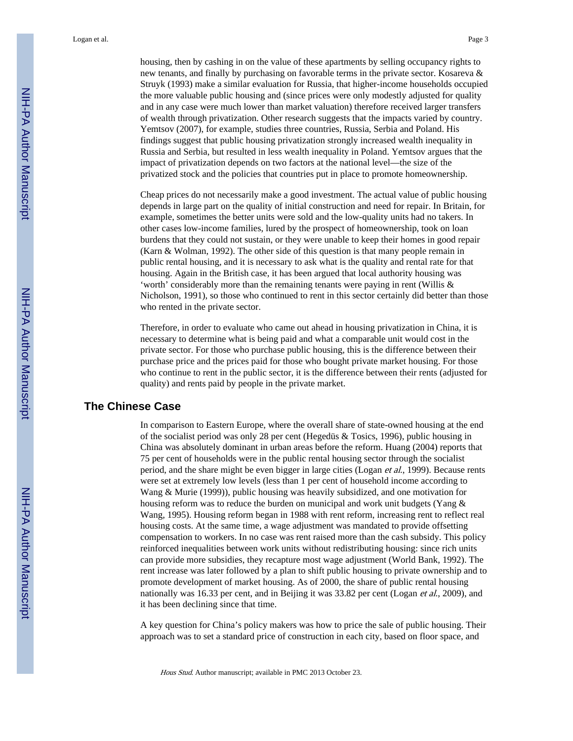housing, then by cashing in on the value of these apartments by selling occupancy rights to new tenants, and finally by purchasing on favorable terms in the private sector. Kosareva & Struyk (1993) make a similar evaluation for Russia, that higher-income households occupied the more valuable public housing and (since prices were only modestly adjusted for quality and in any case were much lower than market valuation) therefore received larger transfers of wealth through privatization. Other research suggests that the impacts varied by country. Yemtsov (2007), for example, studies three countries, Russia, Serbia and Poland. His findings suggest that public housing privatization strongly increased wealth inequality in Russia and Serbia, but resulted in less wealth inequality in Poland. Yemtsov argues that the impact of privatization depends on two factors at the national level—the size of the privatized stock and the policies that countries put in place to promote homeownership.

Cheap prices do not necessarily make a good investment. The actual value of public housing depends in large part on the quality of initial construction and need for repair. In Britain, for example, sometimes the better units were sold and the low-quality units had no takers. In other cases low-income families, lured by the prospect of homeownership, took on loan burdens that they could not sustain, or they were unable to keep their homes in good repair (Karn & Wolman, 1992). The other side of this question is that many people remain in public rental housing, and it is necessary to ask what is the quality and rental rate for that housing. Again in the British case, it has been argued that local authority housing was 'worth' considerably more than the remaining tenants were paying in rent (Willis & Nicholson, 1991), so those who continued to rent in this sector certainly did better than those who rented in the private sector.

Therefore, in order to evaluate who came out ahead in housing privatization in China, it is necessary to determine what is being paid and what a comparable unit would cost in the private sector. For those who purchase public housing, this is the difference between their purchase price and the prices paid for those who bought private market housing. For those who continue to rent in the public sector, it is the difference between their rents (adjusted for quality) and rents paid by people in the private market.

#### **The Chinese Case**

In comparison to Eastern Europe, where the overall share of state-owned housing at the end of the socialist period was only 28 per cent (Hegedüs & Tosics, 1996), public housing in China was absolutely dominant in urban areas before the reform. Huang (2004) reports that 75 per cent of households were in the public rental housing sector through the socialist period, and the share might be even bigger in large cities (Logan *et al.*, 1999). Because rents were set at extremely low levels (less than 1 per cent of household income according to Wang & Murie (1999)), public housing was heavily subsidized, and one motivation for housing reform was to reduce the burden on municipal and work unit budgets (Yang & Wang, 1995). Housing reform began in 1988 with rent reform, increasing rent to reflect real housing costs. At the same time, a wage adjustment was mandated to provide offsetting compensation to workers. In no case was rent raised more than the cash subsidy. This policy reinforced inequalities between work units without redistributing housing: since rich units can provide more subsidies, they recapture most wage adjustment (World Bank, 1992). The rent increase was later followed by a plan to shift public housing to private ownership and to promote development of market housing. As of 2000, the share of public rental housing nationally was 16.33 per cent, and in Beijing it was 33.82 per cent (Logan *et al.*, 2009), and it has been declining since that time.

A key question for China's policy makers was how to price the sale of public housing. Their approach was to set a standard price of construction in each city, based on floor space, and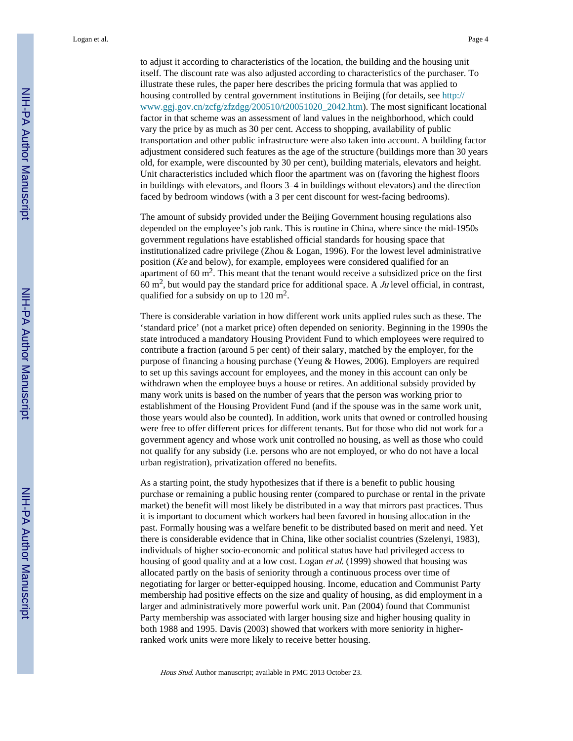to adjust it according to characteristics of the location, the building and the housing unit itself. The discount rate was also adjusted according to characteristics of the purchaser. To illustrate these rules, the paper here describes the pricing formula that was applied to housing controlled by central government institutions in Beijing (for details, see [http://](http://www.ggj.gov.cn/zcfg/zfzdgg/200510/t20051020_2042.htm) [www.ggj.gov.cn/zcfg/zfzdgg/200510/t20051020\\_2042.htm\)](http://www.ggj.gov.cn/zcfg/zfzdgg/200510/t20051020_2042.htm). The most significant locational factor in that scheme was an assessment of land values in the neighborhood, which could vary the price by as much as 30 per cent. Access to shopping, availability of public transportation and other public infrastructure were also taken into account. A building factor adjustment considered such features as the age of the structure (buildings more than 30 years old, for example, were discounted by 30 per cent), building materials, elevators and height. Unit characteristics included which floor the apartment was on (favoring the highest floors in buildings with elevators, and floors 3–4 in buildings without elevators) and the direction faced by bedroom windows (with a 3 per cent discount for west-facing bedrooms).

The amount of subsidy provided under the Beijing Government housing regulations also depended on the employee's job rank. This is routine in China, where since the mid-1950s government regulations have established official standards for housing space that institutionalized cadre privilege (Zhou & Logan, 1996). For the lowest level administrative position (Ke and below), for example, employees were considered qualified for an apartment of 60  $m^2$ . This meant that the tenant would receive a subsidized price on the first 60 m<sup>2</sup>, but would pay the standard price for additional space. A Ju level official, in contrast, qualified for a subsidy on up to  $120 \text{ m}^2$ .

There is considerable variation in how different work units applied rules such as these. The 'standard price' (not a market price) often depended on seniority. Beginning in the 1990s the state introduced a mandatory Housing Provident Fund to which employees were required to contribute a fraction (around 5 per cent) of their salary, matched by the employer, for the purpose of financing a housing purchase (Yeung & Howes, 2006). Employers are required to set up this savings account for employees, and the money in this account can only be withdrawn when the employee buys a house or retires. An additional subsidy provided by many work units is based on the number of years that the person was working prior to establishment of the Housing Provident Fund (and if the spouse was in the same work unit, those years would also be counted). In addition, work units that owned or controlled housing were free to offer different prices for different tenants. But for those who did not work for a government agency and whose work unit controlled no housing, as well as those who could not qualify for any subsidy (i.e. persons who are not employed, or who do not have a local urban registration), privatization offered no benefits.

As a starting point, the study hypothesizes that if there is a benefit to public housing purchase or remaining a public housing renter (compared to purchase or rental in the private market) the benefit will most likely be distributed in a way that mirrors past practices. Thus it is important to document which workers had been favored in housing allocation in the past. Formally housing was a welfare benefit to be distributed based on merit and need. Yet there is considerable evidence that in China, like other socialist countries (Szelenyi, 1983), individuals of higher socio-economic and political status have had privileged access to housing of good quality and at a low cost. Logan *et al.* (1999) showed that housing was allocated partly on the basis of seniority through a continuous process over time of negotiating for larger or better-equipped housing. Income, education and Communist Party membership had positive effects on the size and quality of housing, as did employment in a larger and administratively more powerful work unit. Pan (2004) found that Communist Party membership was associated with larger housing size and higher housing quality in both 1988 and 1995. Davis (2003) showed that workers with more seniority in higherranked work units were more likely to receive better housing.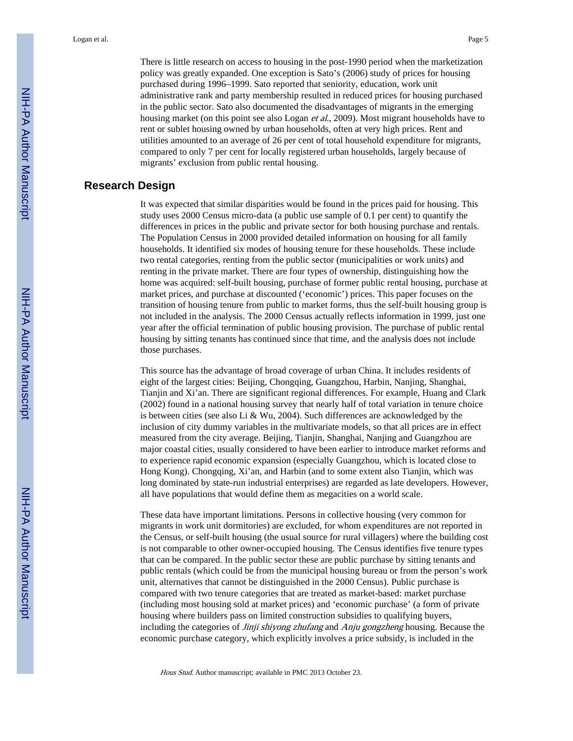There is little research on access to housing in the post-1990 period when the marketization policy was greatly expanded. One exception is Sato's (2006) study of prices for housing purchased during 1996–1999. Sato reported that seniority, education, work unit administrative rank and party membership resulted in reduced prices for housing purchased in the public sector. Sato also documented the disadvantages of migrants in the emerging housing market (on this point see also Logan *et al.*, 2009). Most migrant households have to rent or sublet housing owned by urban households, often at very high prices. Rent and utilities amounted to an average of 26 per cent of total household expenditure for migrants, compared to only 7 per cent for locally registered urban households, largely because of migrants' exclusion from public rental housing.

#### **Research Design**

It was expected that similar disparities would be found in the prices paid for housing. This study uses 2000 Census micro-data (a public use sample of 0.1 per cent) to quantify the differences in prices in the public and private sector for both housing purchase and rentals. The Population Census in 2000 provided detailed information on housing for all family households. It identified six modes of housing tenure for these households. These include two rental categories, renting from the public sector (municipalities or work units) and renting in the private market. There are four types of ownership, distinguishing how the home was acquired: self-built housing, purchase of former public rental housing, purchase at market prices, and purchase at discounted ('economic') prices. This paper focuses on the transition of housing tenure from public to market forms, thus the self-built housing group is not included in the analysis. The 2000 Census actually reflects information in 1999, just one year after the official termination of public housing provision. The purchase of public rental housing by sitting tenants has continued since that time, and the analysis does not include those purchases.

This source has the advantage of broad coverage of urban China. It includes residents of eight of the largest cities: Beijing, Chongqing, Guangzhou, Harbin, Nanjing, Shanghai, Tianjin and Xi'an. There are significant regional differences. For example, Huang and Clark (2002) found in a national housing survey that nearly half of total variation in tenure choice is between cities (see also Li & Wu, 2004). Such differences are acknowledged by the inclusion of city dummy variables in the multivariate models, so that all prices are in effect measured from the city average. Beijing, Tianjin, Shanghai, Nanjing and Guangzhou are major coastal cities, usually considered to have been earlier to introduce market reforms and to experience rapid economic expansion (especially Guangzhou, which is located close to Hong Kong). Chongqing, Xi'an, and Harbin (and to some extent also Tianjin, which was long dominated by state-run industrial enterprises) are regarded as late developers. However, all have populations that would define them as megacities on a world scale.

These data have important limitations. Persons in collective housing (very common for migrants in work unit dormitories) are excluded, for whom expenditures are not reported in the Census, or self-built housing (the usual source for rural villagers) where the building cost is not comparable to other owner-occupied housing. The Census identifies five tenure types that can be compared. In the public sector these are public purchase by sitting tenants and public rentals (which could be from the municipal housing bureau or from the person's work unit, alternatives that cannot be distinguished in the 2000 Census). Public purchase is compared with two tenure categories that are treated as market-based: market purchase (including most housing sold at market prices) and 'economic purchase' (a form of private housing where builders pass on limited construction subsidies to qualifying buyers, including the categories of *Jinji shiyong zhufang* and *Anju gongzheng* housing. Because the economic purchase category, which explicitly involves a price subsidy, is included in the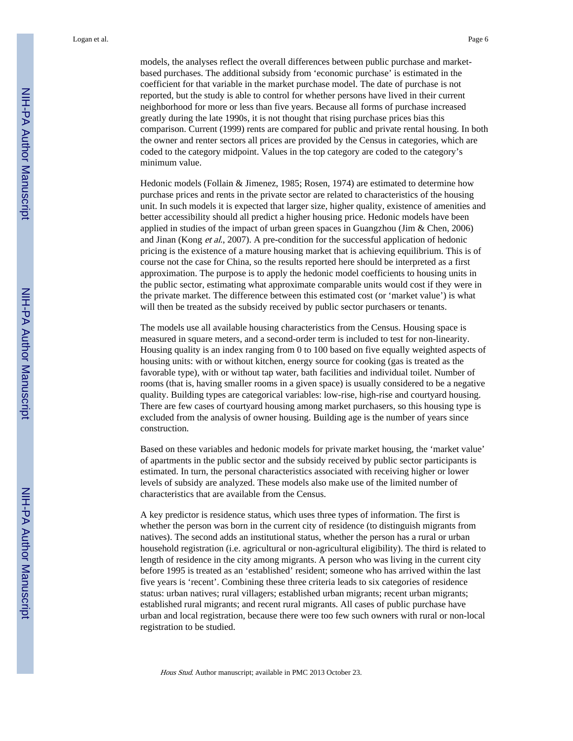models, the analyses reflect the overall differences between public purchase and marketbased purchases. The additional subsidy from 'economic purchase' is estimated in the coefficient for that variable in the market purchase model. The date of purchase is not reported, but the study is able to control for whether persons have lived in their current neighborhood for more or less than five years. Because all forms of purchase increased greatly during the late 1990s, it is not thought that rising purchase prices bias this comparison. Current (1999) rents are compared for public and private rental housing. In both the owner and renter sectors all prices are provided by the Census in categories, which are coded to the category midpoint. Values in the top category are coded to the category's minimum value.

Hedonic models (Follain & Jimenez, 1985; Rosen, 1974) are estimated to determine how purchase prices and rents in the private sector are related to characteristics of the housing unit. In such models it is expected that larger size, higher quality, existence of amenities and better accessibility should all predict a higher housing price. Hedonic models have been applied in studies of the impact of urban green spaces in Guangzhou (Jim  $\&$  Chen, 2006) and Jinan (Kong et al., 2007). A pre-condition for the successful application of hedonic pricing is the existence of a mature housing market that is achieving equilibrium. This is of course not the case for China, so the results reported here should be interpreted as a first approximation. The purpose is to apply the hedonic model coefficients to housing units in the public sector, estimating what approximate comparable units would cost if they were in the private market. The difference between this estimated cost (or 'market value') is what will then be treated as the subsidy received by public sector purchasers or tenants.

The models use all available housing characteristics from the Census. Housing space is measured in square meters, and a second-order term is included to test for non-linearity. Housing quality is an index ranging from 0 to 100 based on five equally weighted aspects of housing units: with or without kitchen, energy source for cooking (gas is treated as the favorable type), with or without tap water, bath facilities and individual toilet. Number of rooms (that is, having smaller rooms in a given space) is usually considered to be a negative quality. Building types are categorical variables: low-rise, high-rise and courtyard housing. There are few cases of courtyard housing among market purchasers, so this housing type is excluded from the analysis of owner housing. Building age is the number of years since construction.

Based on these variables and hedonic models for private market housing, the 'market value' of apartments in the public sector and the subsidy received by public sector participants is estimated. In turn, the personal characteristics associated with receiving higher or lower levels of subsidy are analyzed. These models also make use of the limited number of characteristics that are available from the Census.

A key predictor is residence status, which uses three types of information. The first is whether the person was born in the current city of residence (to distinguish migrants from natives). The second adds an institutional status, whether the person has a rural or urban household registration (i.e. agricultural or non-agricultural eligibility). The third is related to length of residence in the city among migrants. A person who was living in the current city before 1995 is treated as an 'established' resident; someone who has arrived within the last five years is 'recent'. Combining these three criteria leads to six categories of residence status: urban natives; rural villagers; established urban migrants; recent urban migrants; established rural migrants; and recent rural migrants. All cases of public purchase have urban and local registration, because there were too few such owners with rural or non-local registration to be studied.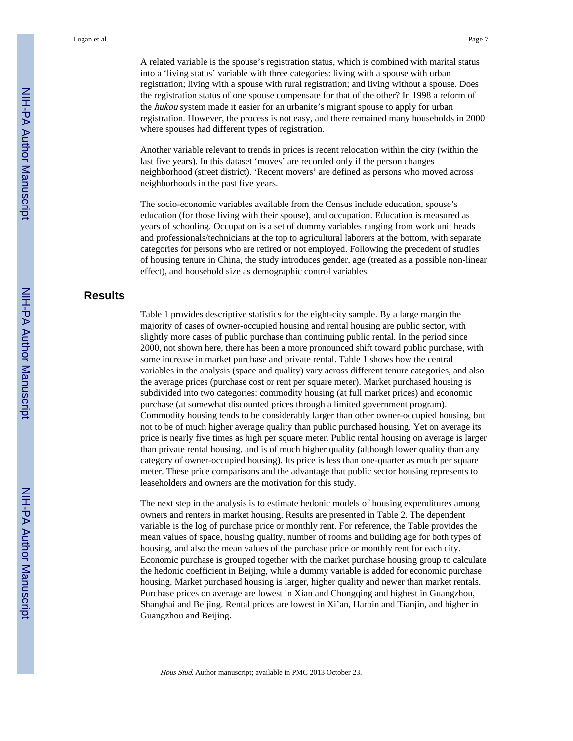A related variable is the spouse's registration status, which is combined with marital status into a 'living status' variable with three categories: living with a spouse with urban registration; living with a spouse with rural registration; and living without a spouse. Does the registration status of one spouse compensate for that of the other? In 1998 a reform of the *hukou* system made it easier for an urbanite's migrant spouse to apply for urban registration. However, the process is not easy, and there remained many households in 2000 where spouses had different types of registration.

Another variable relevant to trends in prices is recent relocation within the city (within the last five years). In this dataset 'moves' are recorded only if the person changes neighborhood (street district). 'Recent movers' are defined as persons who moved across neighborhoods in the past five years.

The socio-economic variables available from the Census include education, spouse's education (for those living with their spouse), and occupation. Education is measured as years of schooling. Occupation is a set of dummy variables ranging from work unit heads and professionals/technicians at the top to agricultural laborers at the bottom, with separate categories for persons who are retired or not employed. Following the precedent of studies of housing tenure in China, the study introduces gender, age (treated as a possible non-linear effect), and household size as demographic control variables.

#### **Results**

Table 1 provides descriptive statistics for the eight-city sample. By a large margin the majority of cases of owner-occupied housing and rental housing are public sector, with slightly more cases of public purchase than continuing public rental. In the period since 2000, not shown here, there has been a more pronounced shift toward public purchase, with some increase in market purchase and private rental. Table 1 shows how the central variables in the analysis (space and quality) vary across different tenure categories, and also the average prices (purchase cost or rent per square meter). Market purchased housing is subdivided into two categories: commodity housing (at full market prices) and economic purchase (at somewhat discounted prices through a limited government program). Commodity housing tends to be considerably larger than other owner-occupied housing, but not to be of much higher average quality than public purchased housing. Yet on average its price is nearly five times as high per square meter. Public rental housing on average is larger than private rental housing, and is of much higher quality (although lower quality than any category of owner-occupied housing). Its price is less than one-quarter as much per square meter. These price comparisons and the advantage that public sector housing represents to leaseholders and owners are the motivation for this study.

The next step in the analysis is to estimate hedonic models of housing expenditures among owners and renters in market housing. Results are presented in Table 2. The dependent variable is the log of purchase price or monthly rent. For reference, the Table provides the mean values of space, housing quality, number of rooms and building age for both types of housing, and also the mean values of the purchase price or monthly rent for each city. Economic purchase is grouped together with the market purchase housing group to calculate the hedonic coefficient in Beijing, while a dummy variable is added for economic purchase housing. Market purchased housing is larger, higher quality and newer than market rentals. Purchase prices on average are lowest in Xian and Chongqing and highest in Guangzhou, Shanghai and Beijing. Rental prices are lowest in Xi'an, Harbin and Tianjin, and higher in Guangzhou and Beijing.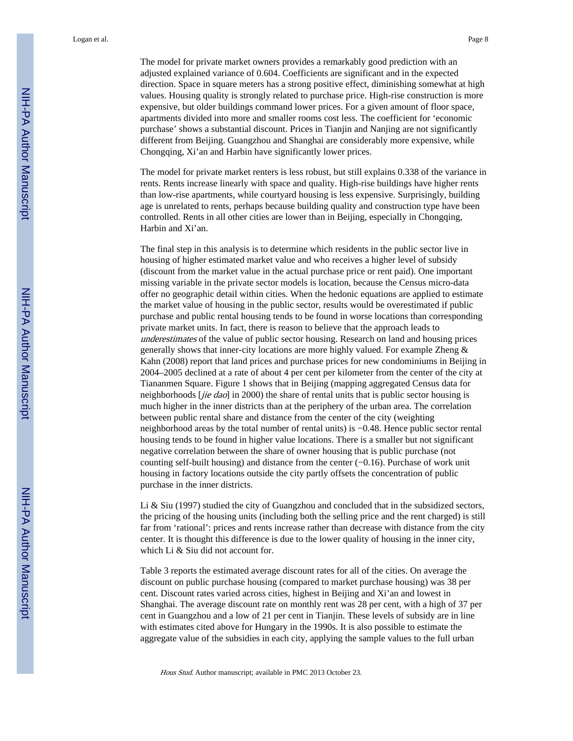The model for private market owners provides a remarkably good prediction with an adjusted explained variance of 0.604. Coefficients are significant and in the expected direction. Space in square meters has a strong positive effect, diminishing somewhat at high values. Housing quality is strongly related to purchase price. High-rise construction is more expensive, but older buildings command lower prices. For a given amount of floor space, apartments divided into more and smaller rooms cost less. The coefficient for 'economic purchase' shows a substantial discount. Prices in Tianjin and Nanjing are not significantly different from Beijing. Guangzhou and Shanghai are considerably more expensive, while Chongqing, Xi'an and Harbin have significantly lower prices.

The model for private market renters is less robust, but still explains 0.338 of the variance in rents. Rents increase linearly with space and quality. High-rise buildings have higher rents than low-rise apartments, while courtyard housing is less expensive. Surprisingly, building age is unrelated to rents, perhaps because building quality and construction type have been controlled. Rents in all other cities are lower than in Beijing, especially in Chongqing, Harbin and Xi'an.

The final step in this analysis is to determine which residents in the public sector live in housing of higher estimated market value and who receives a higher level of subsidy (discount from the market value in the actual purchase price or rent paid). One important missing variable in the private sector models is location, because the Census micro-data offer no geographic detail within cities. When the hedonic equations are applied to estimate the market value of housing in the public sector, results would be overestimated if public purchase and public rental housing tends to be found in worse locations than corresponding private market units. In fact, there is reason to believe that the approach leads to underestimates of the value of public sector housing. Research on land and housing prices generally shows that inner-city locations are more highly valued. For example Zheng & Kahn (2008) report that land prices and purchase prices for new condominiums in Beijing in 2004–2005 declined at a rate of about 4 per cent per kilometer from the center of the city at Tiananmen Square. Figure 1 shows that in Beijing (mapping aggregated Census data for neighborhoods  $\vec{p}$  *ie dao*] in 2000) the share of rental units that is public sector housing is much higher in the inner districts than at the periphery of the urban area. The correlation between public rental share and distance from the center of the city (weighting neighborhood areas by the total number of rental units) is −0.48. Hence public sector rental housing tends to be found in higher value locations. There is a smaller but not significant negative correlation between the share of owner housing that is public purchase (not counting self-built housing) and distance from the center (−0.16). Purchase of work unit housing in factory locations outside the city partly offsets the concentration of public purchase in the inner districts.

Li & Siu (1997) studied the city of Guangzhou and concluded that in the subsidized sectors, the pricing of the housing units (including both the selling price and the rent charged) is still far from 'rational': prices and rents increase rather than decrease with distance from the city center. It is thought this difference is due to the lower quality of housing in the inner city, which Li & Siu did not account for.

Table 3 reports the estimated average discount rates for all of the cities. On average the discount on public purchase housing (compared to market purchase housing) was 38 per cent. Discount rates varied across cities, highest in Beijing and Xi'an and lowest in Shanghai. The average discount rate on monthly rent was 28 per cent, with a high of 37 per cent in Guangzhou and a low of 21 per cent in Tianjin. These levels of subsidy are in line with estimates cited above for Hungary in the 1990s. It is also possible to estimate the aggregate value of the subsidies in each city, applying the sample values to the full urban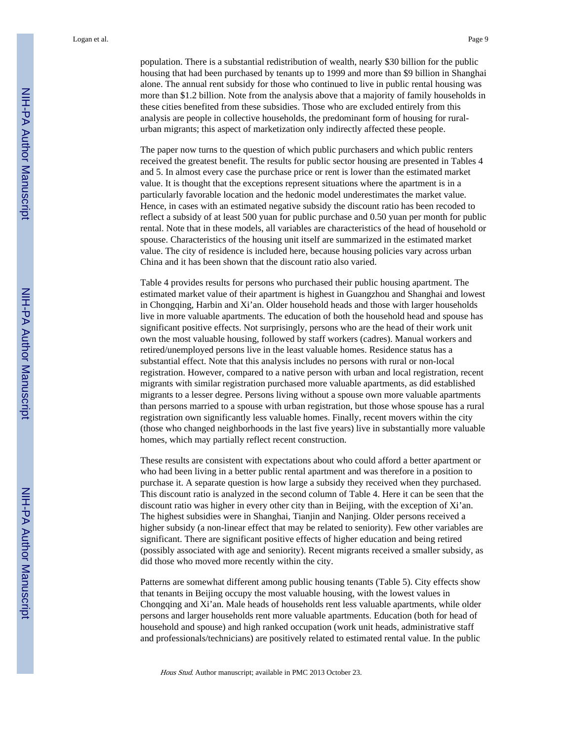population. There is a substantial redistribution of wealth, nearly \$30 billion for the public housing that had been purchased by tenants up to 1999 and more than \$9 billion in Shanghai alone. The annual rent subsidy for those who continued to live in public rental housing was more than \$1.2 billion. Note from the analysis above that a majority of family households in these cities benefited from these subsidies. Those who are excluded entirely from this analysis are people in collective households, the predominant form of housing for ruralurban migrants; this aspect of marketization only indirectly affected these people.

The paper now turns to the question of which public purchasers and which public renters received the greatest benefit. The results for public sector housing are presented in Tables 4 and 5. In almost every case the purchase price or rent is lower than the estimated market value. It is thought that the exceptions represent situations where the apartment is in a particularly favorable location and the hedonic model underestimates the market value. Hence, in cases with an estimated negative subsidy the discount ratio has been recoded to reflect a subsidy of at least 500 yuan for public purchase and 0.50 yuan per month for public rental. Note that in these models, all variables are characteristics of the head of household or spouse. Characteristics of the housing unit itself are summarized in the estimated market value. The city of residence is included here, because housing policies vary across urban China and it has been shown that the discount ratio also varied.

Table 4 provides results for persons who purchased their public housing apartment. The estimated market value of their apartment is highest in Guangzhou and Shanghai and lowest in Chongqing, Harbin and Xi'an. Older household heads and those with larger households live in more valuable apartments. The education of both the household head and spouse has significant positive effects. Not surprisingly, persons who are the head of their work unit own the most valuable housing, followed by staff workers (cadres). Manual workers and retired/unemployed persons live in the least valuable homes. Residence status has a substantial effect. Note that this analysis includes no persons with rural or non-local registration. However, compared to a native person with urban and local registration, recent migrants with similar registration purchased more valuable apartments, as did established migrants to a lesser degree. Persons living without a spouse own more valuable apartments than persons married to a spouse with urban registration, but those whose spouse has a rural registration own significantly less valuable homes. Finally, recent movers within the city (those who changed neighborhoods in the last five years) live in substantially more valuable homes, which may partially reflect recent construction.

These results are consistent with expectations about who could afford a better apartment or who had been living in a better public rental apartment and was therefore in a position to purchase it. A separate question is how large a subsidy they received when they purchased. This discount ratio is analyzed in the second column of Table 4. Here it can be seen that the discount ratio was higher in every other city than in Beijing, with the exception of Xi'an. The highest subsidies were in Shanghai, Tianjin and Nanjing. Older persons received a higher subsidy (a non-linear effect that may be related to seniority). Few other variables are significant. There are significant positive effects of higher education and being retired (possibly associated with age and seniority). Recent migrants received a smaller subsidy, as did those who moved more recently within the city.

Patterns are somewhat different among public housing tenants (Table 5). City effects show that tenants in Beijing occupy the most valuable housing, with the lowest values in Chongqing and Xi'an. Male heads of households rent less valuable apartments, while older persons and larger households rent more valuable apartments. Education (both for head of household and spouse) and high ranked occupation (work unit heads, administrative staff and professionals/technicians) are positively related to estimated rental value. In the public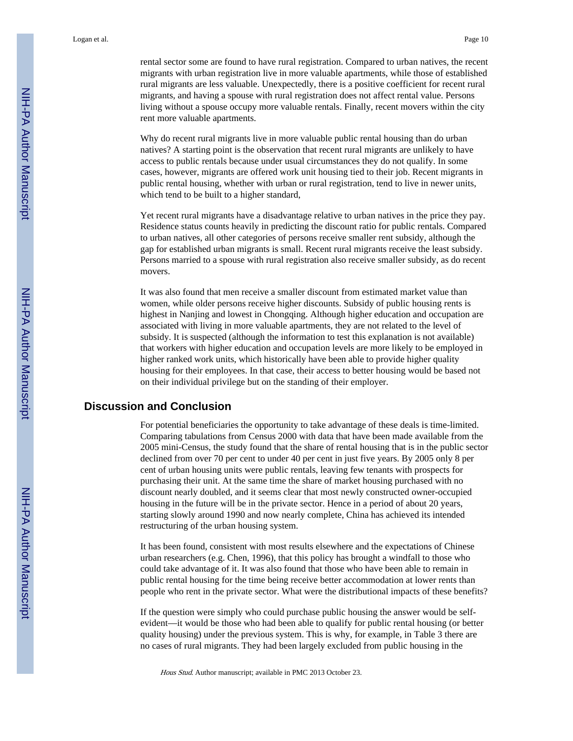rental sector some are found to have rural registration. Compared to urban natives, the recent migrants with urban registration live in more valuable apartments, while those of established rural migrants are less valuable. Unexpectedly, there is a positive coefficient for recent rural migrants, and having a spouse with rural registration does not affect rental value. Persons living without a spouse occupy more valuable rentals. Finally, recent movers within the city rent more valuable apartments.

Why do recent rural migrants live in more valuable public rental housing than do urban natives? A starting point is the observation that recent rural migrants are unlikely to have access to public rentals because under usual circumstances they do not qualify. In some cases, however, migrants are offered work unit housing tied to their job. Recent migrants in public rental housing, whether with urban or rural registration, tend to live in newer units, which tend to be built to a higher standard,

Yet recent rural migrants have a disadvantage relative to urban natives in the price they pay. Residence status counts heavily in predicting the discount ratio for public rentals. Compared to urban natives, all other categories of persons receive smaller rent subsidy, although the gap for established urban migrants is small. Recent rural migrants receive the least subsidy. Persons married to a spouse with rural registration also receive smaller subsidy, as do recent movers.

It was also found that men receive a smaller discount from estimated market value than women, while older persons receive higher discounts. Subsidy of public housing rents is highest in Nanjing and lowest in Chongqing. Although higher education and occupation are associated with living in more valuable apartments, they are not related to the level of subsidy. It is suspected (although the information to test this explanation is not available) that workers with higher education and occupation levels are more likely to be employed in higher ranked work units, which historically have been able to provide higher quality housing for their employees. In that case, their access to better housing would be based not on their individual privilege but on the standing of their employer.

#### **Discussion and Conclusion**

For potential beneficiaries the opportunity to take advantage of these deals is time-limited. Comparing tabulations from Census 2000 with data that have been made available from the 2005 mini-Census, the study found that the share of rental housing that is in the public sector declined from over 70 per cent to under 40 per cent in just five years. By 2005 only 8 per cent of urban housing units were public rentals, leaving few tenants with prospects for purchasing their unit. At the same time the share of market housing purchased with no discount nearly doubled, and it seems clear that most newly constructed owner-occupied housing in the future will be in the private sector. Hence in a period of about 20 years, starting slowly around 1990 and now nearly complete, China has achieved its intended restructuring of the urban housing system.

It has been found, consistent with most results elsewhere and the expectations of Chinese urban researchers (e.g. Chen, 1996), that this policy has brought a windfall to those who could take advantage of it. It was also found that those who have been able to remain in public rental housing for the time being receive better accommodation at lower rents than people who rent in the private sector. What were the distributional impacts of these benefits?

If the question were simply who could purchase public housing the answer would be selfevident—it would be those who had been able to qualify for public rental housing (or better quality housing) under the previous system. This is why, for example, in Table 3 there are no cases of rural migrants. They had been largely excluded from public housing in the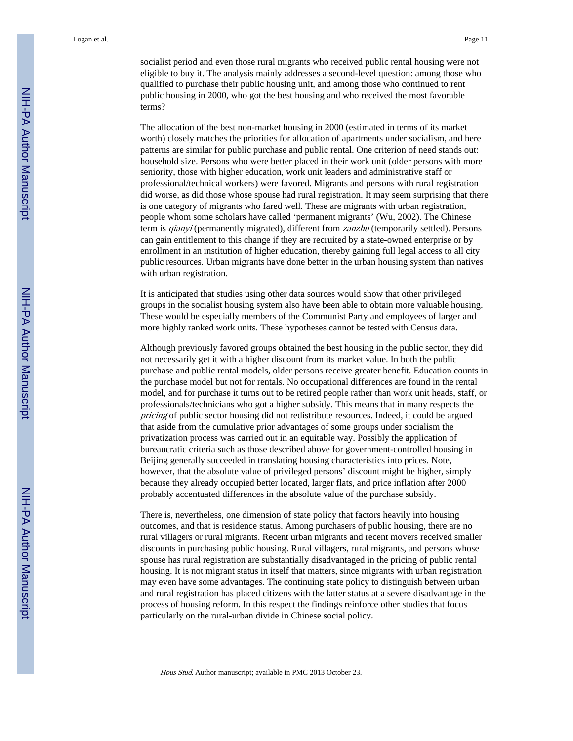socialist period and even those rural migrants who received public rental housing were not eligible to buy it. The analysis mainly addresses a second-level question: among those who qualified to purchase their public housing unit, and among those who continued to rent public housing in 2000, who got the best housing and who received the most favorable terms?

The allocation of the best non-market housing in 2000 (estimated in terms of its market worth) closely matches the priorities for allocation of apartments under socialism, and here patterns are similar for public purchase and public rental. One criterion of need stands out: household size. Persons who were better placed in their work unit (older persons with more seniority, those with higher education, work unit leaders and administrative staff or professional/technical workers) were favored. Migrants and persons with rural registration did worse, as did those whose spouse had rural registration. It may seem surprising that there is one category of migrants who fared well. These are migrants with urban registration, people whom some scholars have called 'permanent migrants' (Wu, 2002). The Chinese term is *qianyi* (permanently migrated), different from *zanzhu* (temporarily settled). Persons can gain entitlement to this change if they are recruited by a state-owned enterprise or by enrollment in an institution of higher education, thereby gaining full legal access to all city public resources. Urban migrants have done better in the urban housing system than natives with urban registration.

It is anticipated that studies using other data sources would show that other privileged groups in the socialist housing system also have been able to obtain more valuable housing. These would be especially members of the Communist Party and employees of larger and more highly ranked work units. These hypotheses cannot be tested with Census data.

Although previously favored groups obtained the best housing in the public sector, they did not necessarily get it with a higher discount from its market value. In both the public purchase and public rental models, older persons receive greater benefit. Education counts in the purchase model but not for rentals. No occupational differences are found in the rental model, and for purchase it turns out to be retired people rather than work unit heads, staff, or professionals/technicians who got a higher subsidy. This means that in many respects the pricing of public sector housing did not redistribute resources. Indeed, it could be argued that aside from the cumulative prior advantages of some groups under socialism the privatization process was carried out in an equitable way. Possibly the application of bureaucratic criteria such as those described above for government-controlled housing in Beijing generally succeeded in translating housing characteristics into prices. Note, however, that the absolute value of privileged persons' discount might be higher, simply because they already occupied better located, larger flats, and price inflation after 2000 probably accentuated differences in the absolute value of the purchase subsidy.

There is, nevertheless, one dimension of state policy that factors heavily into housing outcomes, and that is residence status. Among purchasers of public housing, there are no rural villagers or rural migrants. Recent urban migrants and recent movers received smaller discounts in purchasing public housing. Rural villagers, rural migrants, and persons whose spouse has rural registration are substantially disadvantaged in the pricing of public rental housing. It is not migrant status in itself that matters, since migrants with urban registration may even have some advantages. The continuing state policy to distinguish between urban and rural registration has placed citizens with the latter status at a severe disadvantage in the process of housing reform. In this respect the findings reinforce other studies that focus particularly on the rural-urban divide in Chinese social policy.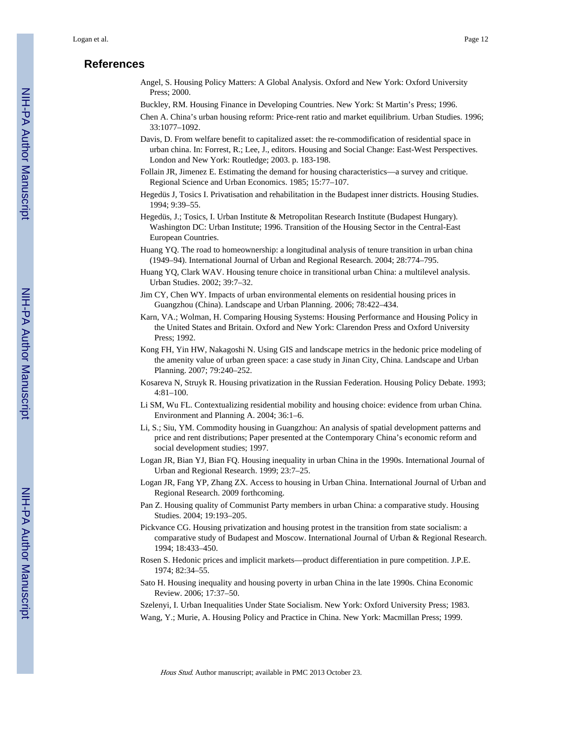#### **References**

- Angel, S. Housing Policy Matters: A Global Analysis. Oxford and New York: Oxford University Press; 2000.
- Buckley, RM. Housing Finance in Developing Countries. New York: St Martin's Press; 1996.
- Chen A. China's urban housing reform: Price-rent ratio and market equilibrium. Urban Studies. 1996; 33:1077–1092.
- Davis, D. From welfare benefit to capitalized asset: the re-commodification of residential space in urban china. In: Forrest, R.; Lee, J., editors. Housing and Social Change: East-West Perspectives. London and New York: Routledge; 2003. p. 183-198.
- Follain JR, Jimenez E. Estimating the demand for housing characteristics—a survey and critique. Regional Science and Urban Economics. 1985; 15:77–107.
- Hegedüs J, Tosics I. Privatisation and rehabilitation in the Budapest inner districts. Housing Studies. 1994; 9:39–55.
- Hegedüs, J.; Tosics, I. Urban Institute & Metropolitan Research Institute (Budapest Hungary). Washington DC: Urban Institute; 1996. Transition of the Housing Sector in the Central-East European Countries.
- Huang YQ. The road to homeownership: a longitudinal analysis of tenure transition in urban china (1949–94). International Journal of Urban and Regional Research. 2004; 28:774–795.
- Huang YQ, Clark WAV. Housing tenure choice in transitional urban China: a multilevel analysis. Urban Studies. 2002; 39:7–32.
- Jim CY, Chen WY. Impacts of urban environmental elements on residential housing prices in Guangzhou (China). Landscape and Urban Planning. 2006; 78:422–434.
- Karn, VA.; Wolman, H. Comparing Housing Systems: Housing Performance and Housing Policy in the United States and Britain. Oxford and New York: Clarendon Press and Oxford University Press; 1992.
- Kong FH, Yin HW, Nakagoshi N. Using GIS and landscape metrics in the hedonic price modeling of the amenity value of urban green space: a case study in Jinan City, China. Landscape and Urban Planning. 2007; 79:240–252.
- Kosareva N, Struyk R. Housing privatization in the Russian Federation. Housing Policy Debate. 1993; 4:81–100.
- Li SM, Wu FL. Contextualizing residential mobility and housing choice: evidence from urban China. Environment and Planning A. 2004; 36:1–6.
- Li, S.; Siu, YM. Commodity housing in Guangzhou: An analysis of spatial development patterns and price and rent distributions; Paper presented at the Contemporary China's economic reform and social development studies; 1997.
- Logan JR, Bian YJ, Bian FQ. Housing inequality in urban China in the 1990s. International Journal of Urban and Regional Research. 1999; 23:7–25.
- Logan JR, Fang YP, Zhang ZX. Access to housing in Urban China. International Journal of Urban and Regional Research. 2009 forthcoming.
- Pan Z. Housing quality of Communist Party members in urban China: a comparative study. Housing Studies. 2004; 19:193–205.
- Pickvance CG. Housing privatization and housing protest in the transition from state socialism: a comparative study of Budapest and Moscow. International Journal of Urban & Regional Research. 1994; 18:433–450.
- Rosen S. Hedonic prices and implicit markets—product differentiation in pure competition. J.P.E. 1974; 82:34–55.
- Sato H. Housing inequality and housing poverty in urban China in the late 1990s. China Economic Review. 2006; 17:37–50.

Szelenyi, I. Urban Inequalities Under State Socialism. New York: Oxford University Press; 1983.

Wang, Y.; Murie, A. Housing Policy and Practice in China. New York: Macmillan Press; 1999.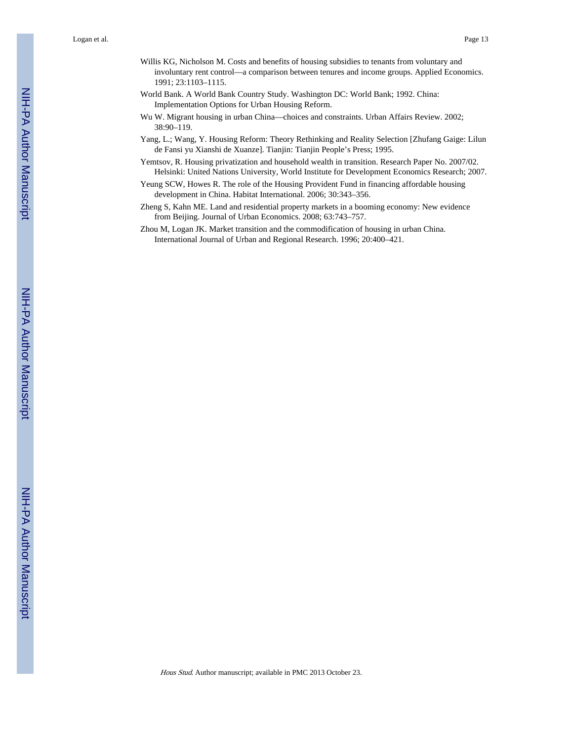- Willis KG, Nicholson M. Costs and benefits of housing subsidies to tenants from voluntary and involuntary rent control—a comparison between tenures and income groups. Applied Economics. 1991; 23:1103–1115.
- World Bank. A World Bank Country Study. Washington DC: World Bank; 1992. China: Implementation Options for Urban Housing Reform.
- Wu W. Migrant housing in urban China—choices and constraints. Urban Affairs Review. 2002; 38:90–119.
- Yang, L.; Wang, Y. Housing Reform: Theory Rethinking and Reality Selection [Zhufang Gaige: Lilun de Fansi yu Xianshi de Xuanze]. Tianjin: Tianjin People's Press; 1995.
- Yemtsov, R. Housing privatization and household wealth in transition. Research Paper No. 2007/02. Helsinki: United Nations University, World Institute for Development Economics Research; 2007.
- Yeung SCW, Howes R. The role of the Housing Provident Fund in financing affordable housing development in China. Habitat International. 2006; 30:343–356.
- Zheng S, Kahn ME. Land and residential property markets in a booming economy: New evidence from Beijing. Journal of Urban Economics. 2008; 63:743–757.
- Zhou M, Logan JK. Market transition and the commodification of housing in urban China. International Journal of Urban and Regional Research. 1996; 20:400–421.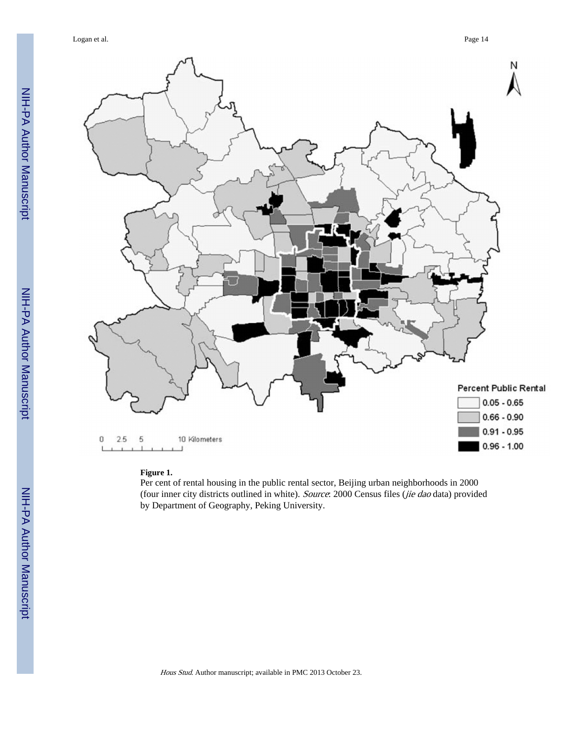

#### **Figure 1.**

Per cent of rental housing in the public rental sector, Beijing urban neighborhoods in 2000 (four inner city districts outlined in white). Source: 2000 Census files (jie dao data) provided by Department of Geography, Peking University.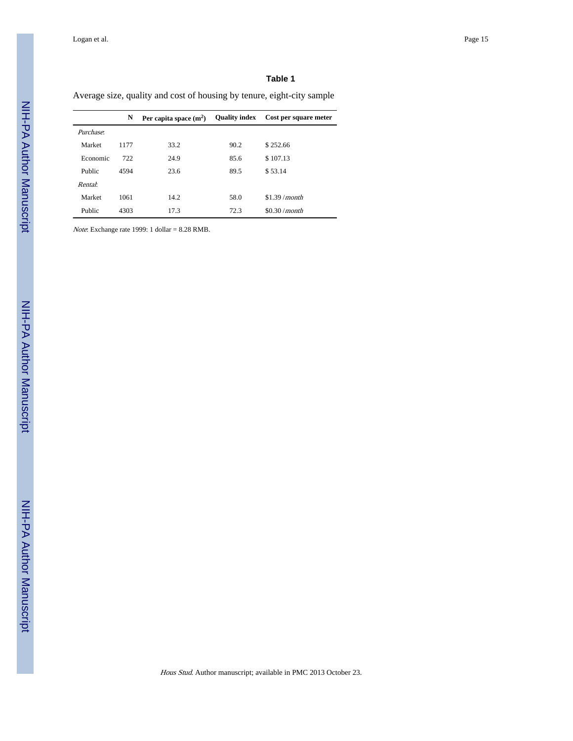Average size, quality and cost of housing by tenure, eight-city sample

|                 | N    | Per capita space $(m^2)$ | <b>Quality index</b> | Cost per square meter |
|-----------------|------|--------------------------|----------------------|-----------------------|
| <b>Purchase</b> |      |                          |                      |                       |
| Market          | 1177 | 33.2                     | 90.2                 | \$252.66              |
| Economic        | 722  | 24.9                     | 85.6                 | \$107.13              |
| Public          | 4594 | 23.6                     | 89.5                 | \$53.14               |
| Rental          |      |                          |                      |                       |
| Market          | 1061 | 14.2                     | 58.0                 | \$1.39/month          |
| Public          | 4303 | 17.3                     | 72.3                 | \$0.30/month          |

Note: Exchange rate 1999: 1 dollar = 8.28 RMB.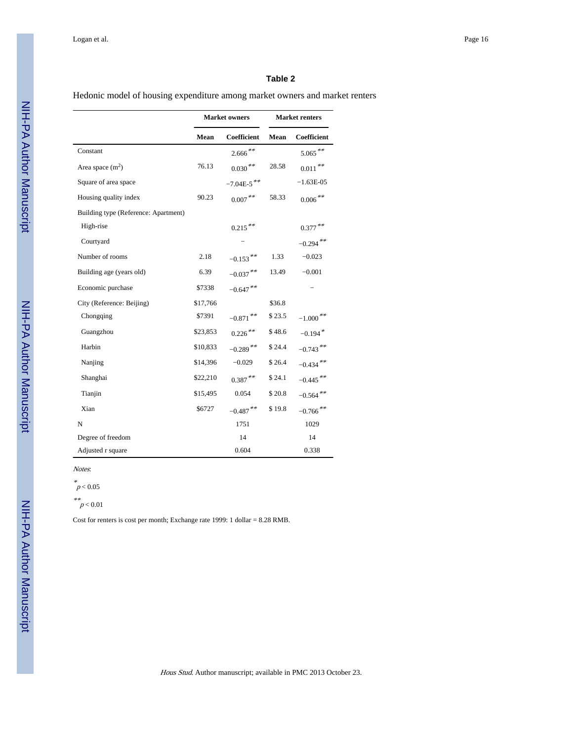#### Hedonic model of housing expenditure among market owners and market renters

|                                      | <b>Market owners</b> |                        | <b>Market renters</b> |                        |
|--------------------------------------|----------------------|------------------------|-----------------------|------------------------|
|                                      | Mean                 | Coefficient            | Mean                  | Coefficient            |
| Constant                             |                      | $2.666$ <sup>**</sup>  |                       | $5.065***$             |
| Area space $(m2)$                    | 76.13                | $0.030\,**$            | 28.58                 | $0.011$ **             |
| Square of area space                 |                      | $-7.04E-5$ **          |                       | $-1.63E-05$            |
| Housing quality index                | 90.23                | $0.007$ $^{\ast\ast}$  | 58.33                 | $0.006$ $\!**$         |
| Building type (Reference: Apartment) |                      |                        |                       |                        |
| High-rise                            |                      | $0.215***$             |                       | $0.377**$              |
| Courtyard                            |                      |                        |                       | $-0.294$ <sup>**</sup> |
| Number of rooms                      | 2.18                 | $-0.153$ **            | 1.33                  | $-0.023$               |
| Building age (years old)             | 6.39                 | $-0.037$ **            | 13.49                 | $-0.001$               |
| Economic purchase                    | \$7338               | $-0.647$ **            |                       |                        |
| City (Reference: Beijing)            | \$17,766             |                        | \$36.8                |                        |
| Chongqing                            | \$7391               | $-0.871$ **            | \$23.5                | $-1.000$ **            |
| Guangzhou                            | \$23,853             | $0.226$ **             | \$48.6                | $-0.194*$              |
| Harbin                               | \$10,833             | $-0.289$ <sup>**</sup> | \$24.4                | $-0.743$ **            |
| Nanjing                              | \$14,396             | $-0.029$               | \$26.4                | $-0.434$ <sup>**</sup> |
| Shanghai                             | \$22,210             | $0.387**$              | \$24.1                | $-0.445$ **            |
| Tianjin                              | \$15,495             | 0.054                  | \$20.8                | $-0.564$ <sup>**</sup> |
| Xian                                 | \$6727               | $-0.487$ **            | \$19.8                | $-0.766$ <sup>**</sup> |
| $\mathbf N$                          |                      | 1751                   |                       | 1029                   |
| Degree of freedom                    |                      | 14                     |                       | 14                     |
| Adjusted r square                    |                      | 0.604                  |                       | 0.338                  |

Notes:

 $p$  < 0.05

\*\*<br> $p < 0.01$ 

Cost for renters is cost per month; Exchange rate 1999: 1 dollar = 8.28 RMB.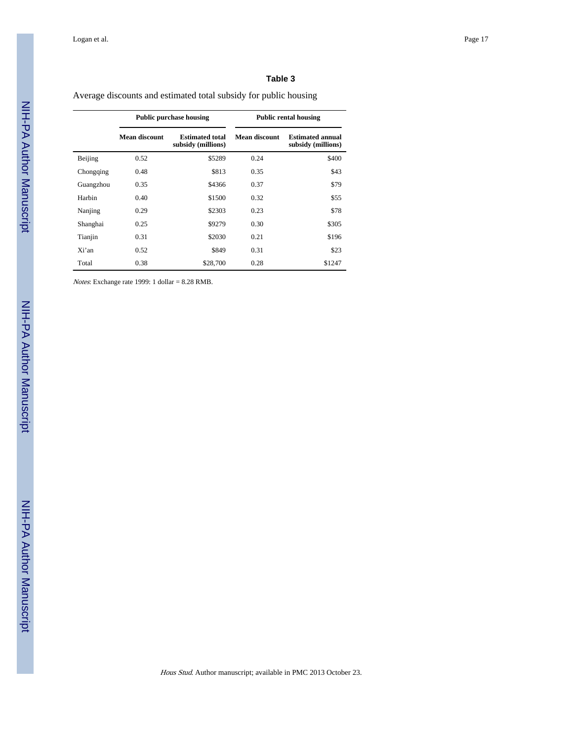### Average discounts and estimated total subsidy for public housing

|           | <b>Public purchase housing</b> |                                              | <b>Public rental housing</b> |                                               |
|-----------|--------------------------------|----------------------------------------------|------------------------------|-----------------------------------------------|
|           | Mean discount                  | <b>Estimated total</b><br>subsidy (millions) | Mean discount                | <b>Estimated annual</b><br>subsidy (millions) |
| Beijing   | 0.52                           | \$5289                                       | 0.24                         | \$400                                         |
| Chongqing | 0.48                           | \$813                                        | 0.35                         | \$43                                          |
| Guangzhou | 0.35                           | \$4366                                       | 0.37                         | \$79                                          |
| Harbin    | 0.40                           | \$1500                                       | 0.32                         | \$55                                          |
| Nanjing   | 0.29                           | \$2303                                       | 0.23                         | \$78                                          |
| Shanghai  | 0.25                           | \$9279                                       | 0.30                         | \$305                                         |
| Tianjin   | 0.31                           | \$2030                                       | 0.21                         | \$196                                         |
| Xi'an     | 0.52                           | \$849                                        | 0.31                         | \$23                                          |
| Total     | 0.38                           | \$28,700                                     | 0.28                         | \$1247                                        |

Notes: Exchange rate 1999: 1 dollar = 8.28 RMB.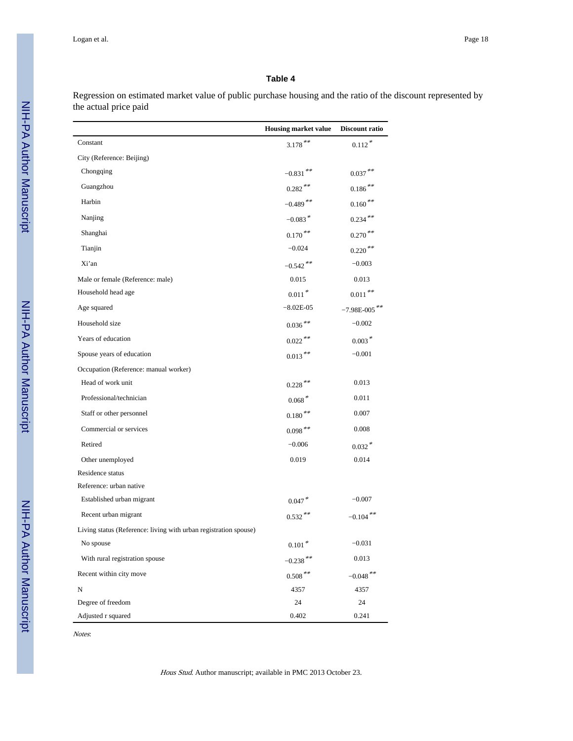Regression on estimated market value of public purchase housing and the ratio of the discount represented by the actual price paid

|                                                                  | <b>Housing market value</b>               | Discount ratio         |
|------------------------------------------------------------------|-------------------------------------------|------------------------|
| Constant                                                         | $3.178***$                                | $0.112$ $^{\ast}$      |
| City (Reference: Beijing)                                        |                                           |                        |
| Chongqing                                                        | $-0.831$ **                               | $0.037**$              |
| Guangzhou                                                        | $0.282***$                                | $0.186$ <sup>**</sup>  |
| Harbin                                                           | $-0.489$ **                               | $0.160$ <sup>**</sup>  |
| Nanjing                                                          | $-0.083$ <sup>*</sup>                     | $0.234***$             |
| Shanghai                                                         | $0.170**$                                 | $0.270**$              |
| Tianjin                                                          | $-0.024$                                  | $0.220$ **             |
| Xi'an                                                            | $-0.542$ **                               | $-0.003$               |
| Male or female (Reference: male)                                 | 0.015                                     | 0.013                  |
| Household head age                                               | $0.011*$                                  | $0.011$ **             |
| Age squared                                                      | $-8.02E-05$                               | $-7.98E - 005$ **      |
| Household size                                                   | $0.036***$                                | $-0.002$               |
| Years of education                                               | $0.022$ **                                | $0.003*$               |
| Spouse years of education                                        | $0.013***$                                | $-0.001$               |
| Occupation (Reference: manual worker)                            |                                           |                        |
| Head of work unit                                                | $0.228$ **                                | 0.013                  |
| Professional/technician                                          | $0.068*$                                  | 0.011                  |
| Staff or other personnel                                         | $0.180$ $^{\ast\ast}$                     | 0.007                  |
| Commercial or services                                           | $0.098***$                                | 0.008                  |
| Retired                                                          | $-0.006$                                  | $0.032*$               |
| Other unemployed                                                 | 0.019                                     | 0.014                  |
| Residence status                                                 |                                           |                        |
| Reference: urban native                                          |                                           |                        |
| Established urban migrant                                        | $0.047$ *                                 | $-0.007$               |
| Recent urban migrant                                             | $0.532**$                                 | $-0.104$ <sup>**</sup> |
| Living status (Reference: living with urban registration spouse) |                                           |                        |
| No spouse                                                        | $0.101$ $^{\ast}$                         | $-0.031$               |
| With rural registration spouse                                   | $-0.238$ <sup>**</sup>                    | 0.013                  |
| Recent within city move                                          | $0.508$ $\overset{**}{\phantom{}_{\sim}}$ | $-0.048$ <sup>**</sup> |
| $_{\rm N}$                                                       | 4357                                      | 4357                   |
| Degree of freedom                                                | 24                                        | 24                     |
| Adjusted r squared                                               | 0.402                                     | 0.241                  |

Notes: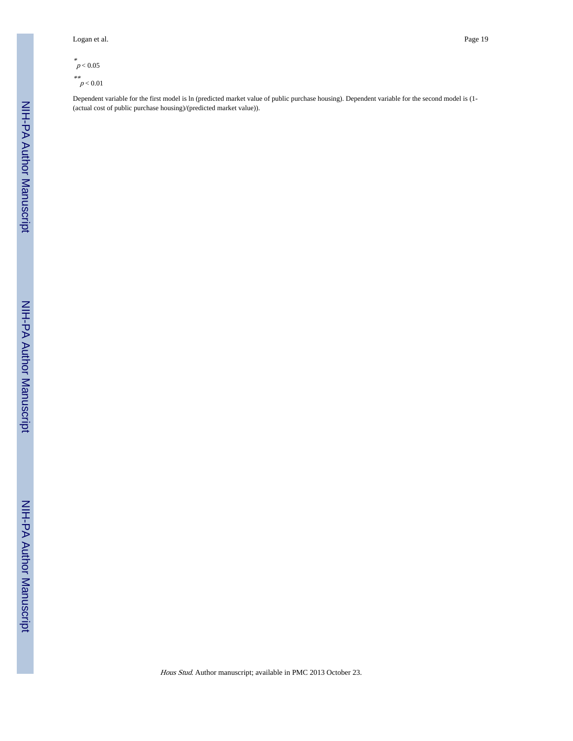Logan et al. Page 19

 $p < 0.05$ \*\*<br> $p < 0.01$ 

Dependent variable for the first model is ln (predicted market value of public purchase housing). Dependent variable for the second model is (1- (actual cost of public purchase housing)/(predicted market value)).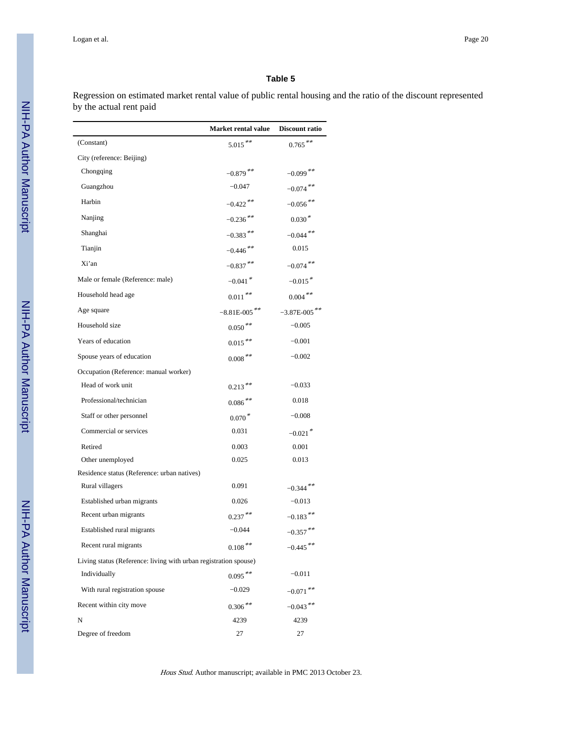Regression on estimated market rental value of public rental housing and the ratio of the discount represented by the actual rent paid

|                                                                  | Market rental value    | Discount ratio         |
|------------------------------------------------------------------|------------------------|------------------------|
| (Constant)                                                       | $5.015***$             | $0.765***$             |
| City (reference: Beijing)                                        |                        |                        |
| Chongqing                                                        | $-0.879$ **            | $-0.099$ **            |
| Guangzhou                                                        | $-0.047$               | $-0.074$ **            |
| Harbin                                                           | $-0.422$ **            | $-0.056$ <sup>**</sup> |
| Nanjing                                                          | $-0.236$ <sup>**</sup> | $0.030\,^*$            |
| Shanghai                                                         | $-0.383$ <sup>**</sup> | $-0.044$ **            |
| Tianjin                                                          | $-0.446$ **            | 0.015                  |
| Xi'an                                                            | $-0.837**$             | $-0.074$ **            |
| Male or female (Reference: male)                                 | $-0.041$ *             | $-0.015$ <sup>*</sup>  |
| Household head age                                               | $0.011$ **             | $0.004$ **             |
| Age square                                                       | $-8.81E - 005$ **      | $-3.87E - 005$ **      |
| Household size                                                   | $0.050**$              | $-0.005$               |
| Years of education                                               | $0.015***$             | $-0.001$               |
| Spouse years of education                                        | $0.008$ **             | $-0.002$               |
| Occupation (Reference: manual worker)                            |                        |                        |
| Head of work unit                                                | $0.213***$             | $-0.033$               |
| Professional/technician                                          | $0.086$ <sup>**</sup>  | 0.018                  |
| Staff or other personnel                                         | $0.070*$               | $-0.008$               |
| Commercial or services                                           | 0.031                  | $-0.021$ *             |
| Retired                                                          | 0.003                  | 0.001                  |
| Other unemployed                                                 | 0.025                  | 0.013                  |
| Residence status (Reference: urban natives)                      |                        |                        |
| Rural villagers                                                  | 0.091                  | $-0.344$ **            |
| Established urban migrants                                       | 0.026                  | $-0.013$               |
| Recent urban migrants                                            | $0.237***$             | $-0.183$ <sup>**</sup> |
| Established rural migrants                                       | $-0.044$               | $-0.357**$             |
| Recent rural migrants                                            | $0.108$ **             | $-0.445$ **            |
| Living status (Reference: living with urban registration spouse) |                        |                        |
| Individually                                                     | $0.095***$             | $-0.011$               |
| With rural registration spouse                                   | $-0.029$               | $-0.071$ **            |
| Recent within city move                                          | $0.306***$             | $-0.043$ **            |
| N                                                                | 4239                   | 4239                   |
| Degree of freedom                                                | 27                     | 27                     |